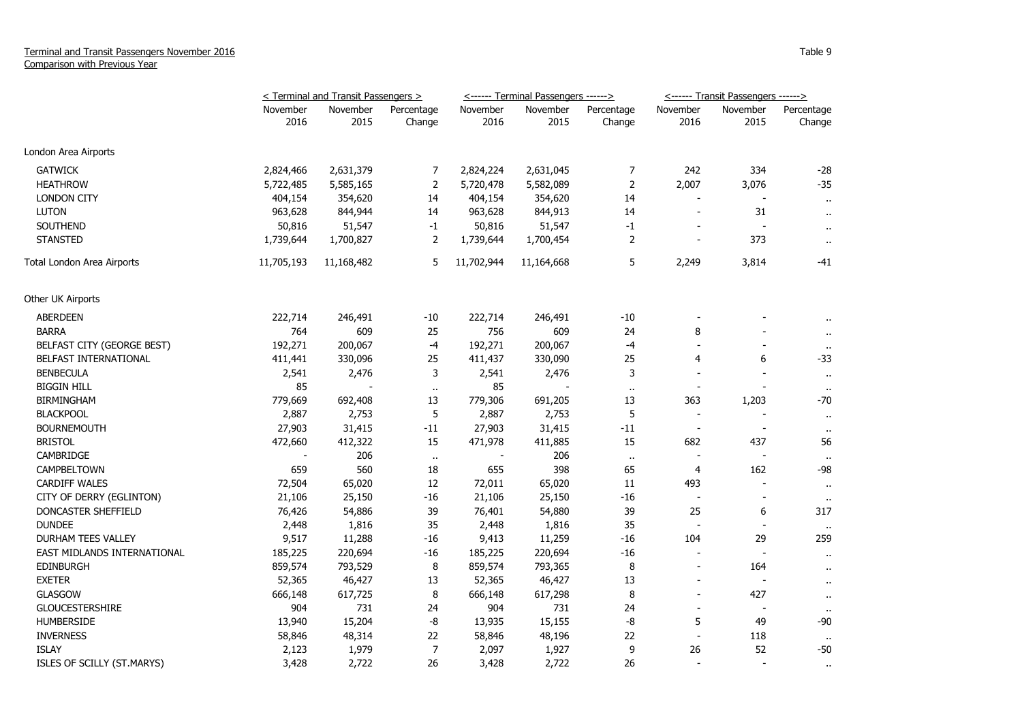|                             | < Terminal and Transit Passengers > |            |                |            | <------ Terminal Passengers ------> |                | <------ Transit Passengers ------> |                          |                      |
|-----------------------------|-------------------------------------|------------|----------------|------------|-------------------------------------|----------------|------------------------------------|--------------------------|----------------------|
|                             | November                            | November   | Percentage     | November   | November                            | Percentage     | November                           | November                 | Percentage           |
|                             | 2016                                | 2015       | Change         | 2016       | 2015                                | Change         | 2016                               | 2015                     | Change               |
| London Area Airports        |                                     |            |                |            |                                     |                |                                    |                          |                      |
| <b>GATWICK</b>              | 2,824,466                           | 2,631,379  | 7              | 2,824,224  | 2,631,045                           | 7              | 242                                | 334                      | $-28$                |
| <b>HEATHROW</b>             | 5,722,485                           | 5,585,165  | $\overline{2}$ | 5,720,478  | 5,582,089                           | $\overline{2}$ | 2,007                              | 3,076                    | $-35$                |
| <b>LONDON CITY</b>          | 404,154                             | 354,620    | 14             | 404,154    | 354,620                             | 14             | $\sim$                             |                          | $\mathbf{H}$         |
| <b>LUTON</b>                | 963,628                             | 844,944    | 14             | 963,628    | 844,913                             | 14             | $\blacksquare$                     | 31                       | $\blacksquare$       |
| <b>SOUTHEND</b>             | 50,816                              | 51,547     | $-1$           | 50,816     | 51,547                              | $-1$           | $\overline{\phantom{a}}$           |                          | $\ddot{\phantom{1}}$ |
| <b>STANSTED</b>             | 1,739,644                           | 1,700,827  | 2              | 1,739,644  | 1,700,454                           | $\overline{2}$ | $\overline{a}$                     | 373                      | $\ddot{\phantom{1}}$ |
| Total London Area Airports  | 11,705,193                          | 11,168,482 | 5              | 11,702,944 | 11,164,668                          | 5              | 2,249                              | 3,814                    | -41                  |
| Other UK Airports           |                                     |            |                |            |                                     |                |                                    |                          |                      |
| <b>ABERDEEN</b>             | 222,714                             | 246,491    | $-10$          | 222,714    | 246,491                             | $-10$          |                                    |                          |                      |
| <b>BARRA</b>                | 764                                 | 609        | 25             | 756        | 609                                 | 24             | 8                                  |                          |                      |
| BELFAST CITY (GEORGE BEST)  | 192,271                             | 200,067    | $-4$           | 192,271    | 200,067                             | $-4$           |                                    |                          | $\sim$               |
| BELFAST INTERNATIONAL       | 411,441                             | 330,096    | 25             | 411,437    | 330,090                             | 25             | $\overline{4}$                     | 6                        | -33                  |
| <b>BENBECULA</b>            | 2,541                               | 2,476      | 3              | 2,541      | 2,476                               | 3              | L,                                 |                          | $\ddot{\phantom{1}}$ |
| <b>BIGGIN HILL</b>          | 85                                  |            | $\mathbf{H}$   | 85         |                                     | $\alpha$       | $\overline{\phantom{a}}$           |                          | $\bullet$ .          |
| <b>BIRMINGHAM</b>           | 779,669                             | 692,408    | 13             | 779,306    | 691,205                             | 13             | 363                                | 1,203                    | $-70$                |
| <b>BLACKPOOL</b>            | 2,887                               | 2,753      | 5              | 2,887      | 2,753                               | 5              | $\overline{\phantom{a}}$           | $\overline{a}$           | $\mathbf{H}$         |
| <b>BOURNEMOUTH</b>          | 27,903                              | 31,415     | $-11$          | 27,903     | 31,415                              | $-11$          | $\overline{\phantom{a}}$           | $\overline{\phantom{a}}$ | $\ddot{\phantom{a}}$ |
| <b>BRISTOL</b>              | 472,660                             | 412,322    | 15             | 471,978    | 411,885                             | 15             | 682                                | 437                      | 56                   |
| CAMBRIDGE                   |                                     | 206        | $\bullet$ .    |            | 206                                 | $\sim$         |                                    | $\sim$                   |                      |
| CAMPBELTOWN                 | 659                                 | 560        | 18             | 655        | 398                                 | 65             | 4                                  | 162                      | -98                  |
| <b>CARDIFF WALES</b>        | 72,504                              | 65,020     | 12             | 72,011     | 65,020                              | 11             | 493                                | $\overline{a}$           | $\mathbf{u}$         |
| CITY OF DERRY (EGLINTON)    | 21,106                              | 25,150     | $-16$          | 21,106     | 25,150                              | $-16$          | $\overline{a}$                     |                          | $\ddot{\phantom{1}}$ |
| DONCASTER SHEFFIELD         | 76,426                              | 54,886     | 39             | 76,401     | 54,880                              | 39             | 25                                 | 6                        | 317                  |
| <b>DUNDEE</b>               | 2,448                               | 1,816      | 35             | 2,448      | 1,816                               | 35             |                                    |                          | $\mathbf{u}$         |
| DURHAM TEES VALLEY          | 9,517                               | 11,288     | $-16$          | 9,413      | 11,259                              | $-16$          | 104                                | 29                       | 259                  |
| EAST MIDLANDS INTERNATIONAL | 185,225                             | 220,694    | $-16$          | 185,225    | 220,694                             | $-16$          | ÷,                                 |                          | $\ddot{\phantom{1}}$ |
| <b>EDINBURGH</b>            | 859,574                             | 793,529    | 8              | 859,574    | 793,365                             | 8              | $\overline{\phantom{a}}$           | 164                      | $\ddot{\phantom{1}}$ |
| <b>EXETER</b>               | 52,365                              | 46,427     | 13             | 52,365     | 46,427                              | 13             |                                    |                          | $\sim$               |
| <b>GLASGOW</b>              | 666,148                             | 617,725    | 8              | 666,148    | 617,298                             | 8              | $\overline{a}$                     | 427                      | $\sim$               |
| <b>GLOUCESTERSHIRE</b>      | 904                                 | 731        | 24             | 904        | 731                                 | 24             | $\blacksquare$                     |                          | $\mathbf{H}$         |
| <b>HUMBERSIDE</b>           | 13,940                              | 15,204     | -8             | 13,935     | 15,155                              | -8             | 5                                  | 49                       | -90                  |
| <b>INVERNESS</b>            | 58,846                              | 48,314     | 22             | 58,846     | 48,196                              | 22             | $\overline{a}$                     | 118                      | $\mathbf{H}$         |
| <b>ISLAY</b>                | 2,123                               | 1,979      | 7              | 2,097      | 1,927                               | 9              | 26                                 | 52                       | $-50$                |
| ISLES OF SCILLY (ST.MARYS)  | 3,428                               | 2,722      | 26             | 3,428      | 2,722                               | 26             | $\overline{\phantom{a}}$           | $\overline{a}$           | $\alpha$             |